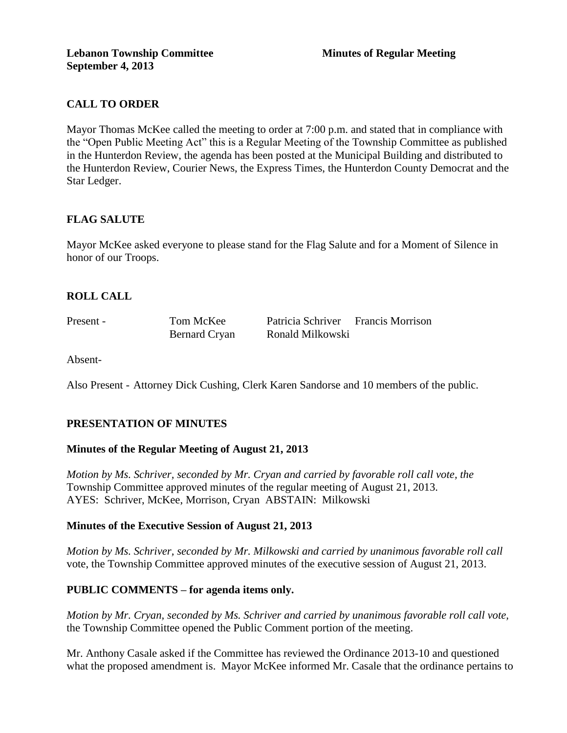# **CALL TO ORDER**

Mayor Thomas McKee called the meeting to order at 7:00 p.m. and stated that in compliance with the "Open Public Meeting Act" this is a Regular Meeting of the Township Committee as published in the Hunterdon Review, the agenda has been posted at the Municipal Building and distributed to the Hunterdon Review, Courier News, the Express Times, the Hunterdon County Democrat and the Star Ledger.

## **FLAG SALUTE**

Mayor McKee asked everyone to please stand for the Flag Salute and for a Moment of Silence in honor of our Troops.

## **ROLL CALL**

| Present - | Tom McKee            | Patricia Schriver Francis Morrison |  |
|-----------|----------------------|------------------------------------|--|
|           | <b>Bernard Cryan</b> | Ronald Milkowski                   |  |

Absent-

Also Present - Attorney Dick Cushing, Clerk Karen Sandorse and 10 members of the public.

### **PRESENTATION OF MINUTES**

### **Minutes of the Regular Meeting of August 21, 2013**

*Motion by Ms. Schriver, seconded by Mr. Cryan and carried by favorable roll call vote, the* Township Committee approved minutes of the regular meeting of August 21, 2013. AYES: Schriver, McKee, Morrison, Cryan ABSTAIN: Milkowski

### **Minutes of the Executive Session of August 21, 2013**

*Motion by Ms. Schriver, seconded by Mr. Milkowski and carried by unanimous favorable roll call*  vote, the Township Committee approved minutes of the executive session of August 21, 2013.

### **PUBLIC COMMENTS – for agenda items only.**

*Motion by Mr. Cryan, seconded by Ms. Schriver and carried by unanimous favorable roll call vote,* the Township Committee opened the Public Comment portion of the meeting.

Mr. Anthony Casale asked if the Committee has reviewed the Ordinance 2013-10 and questioned what the proposed amendment is. Mayor McKee informed Mr. Casale that the ordinance pertains to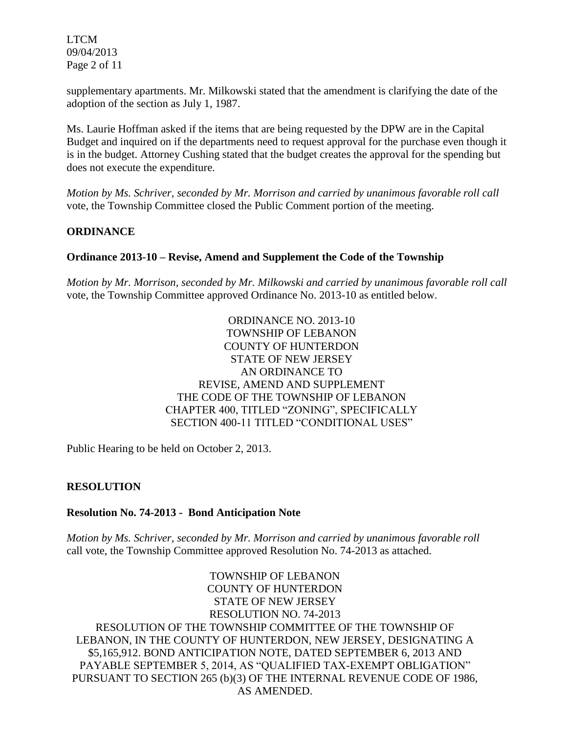LTCM 09/04/2013 Page 2 of 11

supplementary apartments. Mr. Milkowski stated that the amendment is clarifying the date of the adoption of the section as July 1, 1987.

Ms. Laurie Hoffman asked if the items that are being requested by the DPW are in the Capital Budget and inquired on if the departments need to request approval for the purchase even though it is in the budget. Attorney Cushing stated that the budget creates the approval for the spending but does not execute the expenditure.

*Motion by Ms. Schriver, seconded by Mr. Morrison and carried by unanimous favorable roll call*  vote, the Township Committee closed the Public Comment portion of the meeting.

## **ORDINANCE**

### **Ordinance 2013-10 – Revise, Amend and Supplement the Code of the Township**

*Motion by Mr. Morrison, seconded by Mr. Milkowski and carried by unanimous favorable roll call*  vote, the Township Committee approved Ordinance No. 2013-10 as entitled below.

> ORDINANCE NO. 2013-10 TOWNSHIP OF LEBANON COUNTY OF HUNTERDON STATE OF NEW JERSEY AN ORDINANCE TO REVISE, AMEND AND SUPPLEMENT THE CODE OF THE TOWNSHIP OF LEBANON CHAPTER 400, TITLED "ZONING", SPECIFICALLY SECTION 400-11 TITLED "CONDITIONAL USES"

Public Hearing to be held on October 2, 2013.

### **RESOLUTION**

### **Resolution No. 74-2013 - Bond Anticipation Note**

*Motion by Ms. Schriver, seconded by Mr. Morrison and carried by unanimous favorable roll*  call vote, the Township Committee approved Resolution No. 74-2013 as attached.

TOWNSHIP OF LEBANON COUNTY OF HUNTERDON STATE OF NEW JERSEY RESOLUTION NO. 74-2013 RESOLUTION OF THE TOWNSHIP COMMITTEE OF THE TOWNSHIP OF LEBANON, IN THE COUNTY OF HUNTERDON, NEW JERSEY, DESIGNATING A \$5,165,912. BOND ANTICIPATION NOTE, DATED SEPTEMBER 6, 2013 AND PAYABLE SEPTEMBER 5, 2014, AS "QUALIFIED TAX-EXEMPT OBLIGATION" PURSUANT TO SECTION 265 (b)(3) OF THE INTERNAL REVENUE CODE OF 1986, AS AMENDED.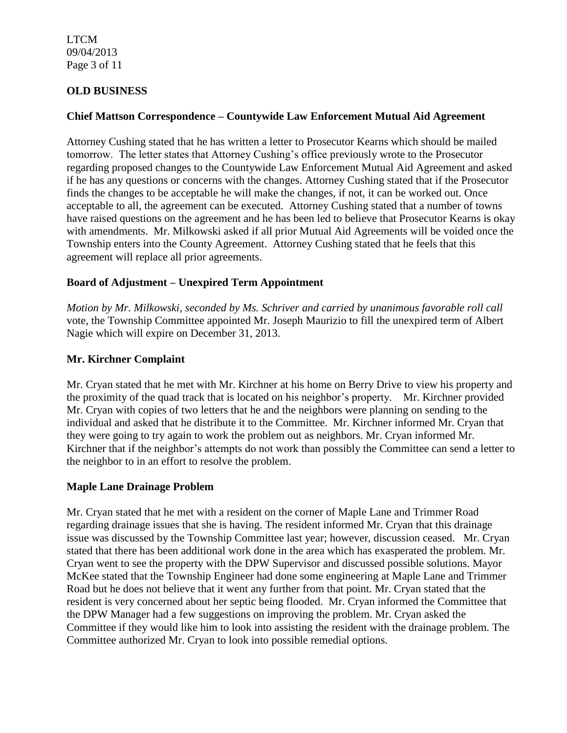LTCM 09/04/2013 Page 3 of 11

# **OLD BUSINESS**

### **Chief Mattson Correspondence – Countywide Law Enforcement Mutual Aid Agreement**

Attorney Cushing stated that he has written a letter to Prosecutor Kearns which should be mailed tomorrow. The letter states that Attorney Cushing's office previously wrote to the Prosecutor regarding proposed changes to the Countywide Law Enforcement Mutual Aid Agreement and asked if he has any questions or concerns with the changes. Attorney Cushing stated that if the Prosecutor finds the changes to be acceptable he will make the changes, if not, it can be worked out. Once acceptable to all, the agreement can be executed. Attorney Cushing stated that a number of towns have raised questions on the agreement and he has been led to believe that Prosecutor Kearns is okay with amendments. Mr. Milkowski asked if all prior Mutual Aid Agreements will be voided once the Township enters into the County Agreement. Attorney Cushing stated that he feels that this agreement will replace all prior agreements.

## **Board of Adjustment – Unexpired Term Appointment**

*Motion by Mr. Milkowski, seconded by Ms. Schriver and carried by unanimous favorable roll call*  vote, the Township Committee appointed Mr. Joseph Maurizio to fill the unexpired term of Albert Nagie which will expire on December 31, 2013.

### **Mr. Kirchner Complaint**

Mr. Cryan stated that he met with Mr. Kirchner at his home on Berry Drive to view his property and the proximity of the quad track that is located on his neighbor's property. Mr. Kirchner provided Mr. Cryan with copies of two letters that he and the neighbors were planning on sending to the individual and asked that he distribute it to the Committee. Mr. Kirchner informed Mr. Cryan that they were going to try again to work the problem out as neighbors. Mr. Cryan informed Mr. Kirchner that if the neighbor's attempts do not work than possibly the Committee can send a letter to the neighbor to in an effort to resolve the problem.

### **Maple Lane Drainage Problem**

Mr. Cryan stated that he met with a resident on the corner of Maple Lane and Trimmer Road regarding drainage issues that she is having. The resident informed Mr. Cryan that this drainage issue was discussed by the Township Committee last year; however, discussion ceased. Mr. Cryan stated that there has been additional work done in the area which has exasperated the problem. Mr. Cryan went to see the property with the DPW Supervisor and discussed possible solutions. Mayor McKee stated that the Township Engineer had done some engineering at Maple Lane and Trimmer Road but he does not believe that it went any further from that point. Mr. Cryan stated that the resident is very concerned about her septic being flooded. Mr. Cryan informed the Committee that the DPW Manager had a few suggestions on improving the problem. Mr. Cryan asked the Committee if they would like him to look into assisting the resident with the drainage problem. The Committee authorized Mr. Cryan to look into possible remedial options.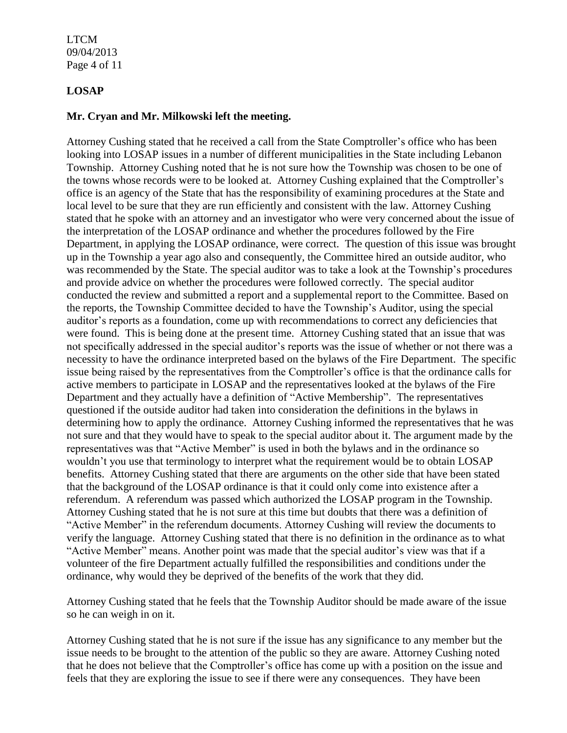LTCM 09/04/2013 Page 4 of 11

# **LOSAP**

### **Mr. Cryan and Mr. Milkowski left the meeting.**

Attorney Cushing stated that he received a call from the State Comptroller's office who has been looking into LOSAP issues in a number of different municipalities in the State including Lebanon Township. Attorney Cushing noted that he is not sure how the Township was chosen to be one of the towns whose records were to be looked at. Attorney Cushing explained that the Comptroller's office is an agency of the State that has the responsibility of examining procedures at the State and local level to be sure that they are run efficiently and consistent with the law. Attorney Cushing stated that he spoke with an attorney and an investigator who were very concerned about the issue of the interpretation of the LOSAP ordinance and whether the procedures followed by the Fire Department, in applying the LOSAP ordinance, were correct. The question of this issue was brought up in the Township a year ago also and consequently, the Committee hired an outside auditor, who was recommended by the State. The special auditor was to take a look at the Township's procedures and provide advice on whether the procedures were followed correctly. The special auditor conducted the review and submitted a report and a supplemental report to the Committee. Based on the reports, the Township Committee decided to have the Township's Auditor, using the special auditor's reports as a foundation, come up with recommendations to correct any deficiencies that were found. This is being done at the present time. Attorney Cushing stated that an issue that was not specifically addressed in the special auditor's reports was the issue of whether or not there was a necessity to have the ordinance interpreted based on the bylaws of the Fire Department. The specific issue being raised by the representatives from the Comptroller's office is that the ordinance calls for active members to participate in LOSAP and the representatives looked at the bylaws of the Fire Department and they actually have a definition of "Active Membership". The representatives questioned if the outside auditor had taken into consideration the definitions in the bylaws in determining how to apply the ordinance. Attorney Cushing informed the representatives that he was not sure and that they would have to speak to the special auditor about it. The argument made by the representatives was that "Active Member" is used in both the bylaws and in the ordinance so wouldn't you use that terminology to interpret what the requirement would be to obtain LOSAP benefits. Attorney Cushing stated that there are arguments on the other side that have been stated that the background of the LOSAP ordinance is that it could only come into existence after a referendum. A referendum was passed which authorized the LOSAP program in the Township. Attorney Cushing stated that he is not sure at this time but doubts that there was a definition of "Active Member" in the referendum documents. Attorney Cushing will review the documents to verify the language. Attorney Cushing stated that there is no definition in the ordinance as to what "Active Member" means. Another point was made that the special auditor's view was that if a volunteer of the fire Department actually fulfilled the responsibilities and conditions under the ordinance, why would they be deprived of the benefits of the work that they did.

Attorney Cushing stated that he feels that the Township Auditor should be made aware of the issue so he can weigh in on it.

Attorney Cushing stated that he is not sure if the issue has any significance to any member but the issue needs to be brought to the attention of the public so they are aware. Attorney Cushing noted that he does not believe that the Comptroller's office has come up with a position on the issue and feels that they are exploring the issue to see if there were any consequences. They have been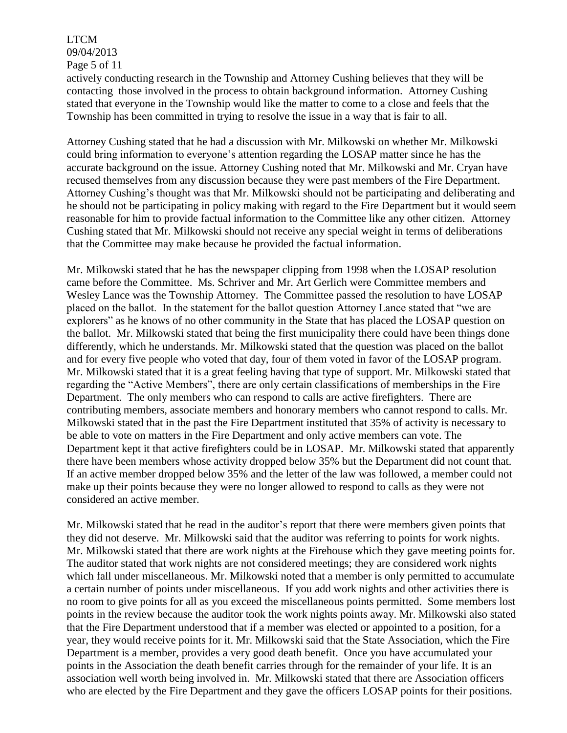# LTCM 09/04/2013 Page 5 of 11

actively conducting research in the Township and Attorney Cushing believes that they will be contacting those involved in the process to obtain background information. Attorney Cushing stated that everyone in the Township would like the matter to come to a close and feels that the Township has been committed in trying to resolve the issue in a way that is fair to all.

Attorney Cushing stated that he had a discussion with Mr. Milkowski on whether Mr. Milkowski could bring information to everyone's attention regarding the LOSAP matter since he has the accurate background on the issue. Attorney Cushing noted that Mr. Milkowski and Mr. Cryan have recused themselves from any discussion because they were past members of the Fire Department. Attorney Cushing's thought was that Mr. Milkowski should not be participating and deliberating and he should not be participating in policy making with regard to the Fire Department but it would seem reasonable for him to provide factual information to the Committee like any other citizen. Attorney Cushing stated that Mr. Milkowski should not receive any special weight in terms of deliberations that the Committee may make because he provided the factual information.

Mr. Milkowski stated that he has the newspaper clipping from 1998 when the LOSAP resolution came before the Committee. Ms. Schriver and Mr. Art Gerlich were Committee members and Wesley Lance was the Township Attorney. The Committee passed the resolution to have LOSAP placed on the ballot. In the statement for the ballot question Attorney Lance stated that "we are explorers" as he knows of no other community in the State that has placed the LOSAP question on the ballot. Mr. Milkowski stated that being the first municipality there could have been things done differently, which he understands. Mr. Milkowski stated that the question was placed on the ballot and for every five people who voted that day, four of them voted in favor of the LOSAP program. Mr. Milkowski stated that it is a great feeling having that type of support. Mr. Milkowski stated that regarding the "Active Members", there are only certain classifications of memberships in the Fire Department. The only members who can respond to calls are active firefighters. There are contributing members, associate members and honorary members who cannot respond to calls. Mr. Milkowski stated that in the past the Fire Department instituted that 35% of activity is necessary to be able to vote on matters in the Fire Department and only active members can vote. The Department kept it that active firefighters could be in LOSAP. Mr. Milkowski stated that apparently there have been members whose activity dropped below 35% but the Department did not count that. If an active member dropped below 35% and the letter of the law was followed, a member could not make up their points because they were no longer allowed to respond to calls as they were not considered an active member.

Mr. Milkowski stated that he read in the auditor's report that there were members given points that they did not deserve. Mr. Milkowski said that the auditor was referring to points for work nights. Mr. Milkowski stated that there are work nights at the Firehouse which they gave meeting points for. The auditor stated that work nights are not considered meetings; they are considered work nights which fall under miscellaneous. Mr. Milkowski noted that a member is only permitted to accumulate a certain number of points under miscellaneous. If you add work nights and other activities there is no room to give points for all as you exceed the miscellaneous points permitted. Some members lost points in the review because the auditor took the work nights points away. Mr. Milkowski also stated that the Fire Department understood that if a member was elected or appointed to a position, for a year, they would receive points for it. Mr. Milkowski said that the State Association, which the Fire Department is a member, provides a very good death benefit. Once you have accumulated your points in the Association the death benefit carries through for the remainder of your life. It is an association well worth being involved in. Mr. Milkowski stated that there are Association officers who are elected by the Fire Department and they gave the officers LOSAP points for their positions.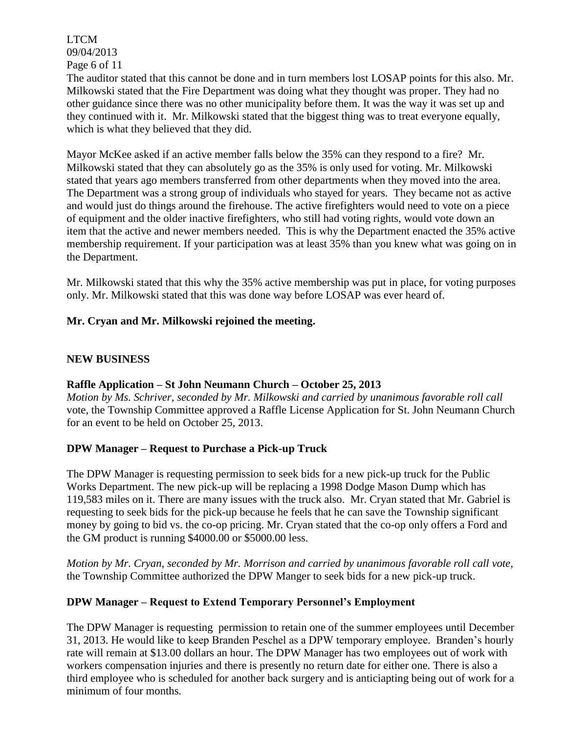LTCM 09/04/2013 Page 6 of 11

The auditor stated that this cannot be done and in turn members lost LOSAP points for this also. Mr. Milkowski stated that the Fire Department was doing what they thought was proper. They had no other guidance since there was no other municipality before them. It was the way it was set up and they continued with it. Mr. Milkowski stated that the biggest thing was to treat everyone equally, which is what they believed that they did.

Mayor McKee asked if an active member falls below the 35% can they respond to a fire? Mr. Milkowski stated that they can absolutely go as the 35% is only used for voting. Mr. Milkowski stated that years ago members transferred from other departments when they moved into the area. The Department was a strong group of individuals who stayed for years. They became not as active and would just do things around the firehouse. The active firefighters would need to vote on a piece of equipment and the older inactive firefighters, who still had voting rights, would vote down an item that the active and newer members needed. This is why the Department enacted the 35% active membership requirement. If your participation was at least 35% than you knew what was going on in the Department.

Mr. Milkowski stated that this why the 35% active membership was put in place, for voting purposes only. Mr. Milkowski stated that this was done way before LOSAP was ever heard of.

# **Mr. Cryan and Mr. Milkowski rejoined the meeting.**

## **NEW BUSINESS**

### **Raffle Application – St John Neumann Church – October 25, 2013**

*Motion by Ms. Schriver, seconded by Mr. Milkowski and carried by unanimous favorable roll call*  vote, the Township Committee approved a Raffle License Application for St. John Neumann Church for an event to be held on October 25, 2013.

### **DPW Manager – Request to Purchase a Pick-up Truck**

The DPW Manager is requesting permission to seek bids for a new pick-up truck for the Public Works Department. The new pick-up will be replacing a 1998 Dodge Mason Dump which has 119,583 miles on it. There are many issues with the truck also. Mr. Cryan stated that Mr. Gabriel is requesting to seek bids for the pick-up because he feels that he can save the Township significant money by going to bid vs. the co-op pricing. Mr. Cryan stated that the co-op only offers a Ford and the GM product is running \$4000.00 or \$5000.00 less.

*Motion by Mr. Cryan, seconded by Mr. Morrison and carried by unanimous favorable roll call vote,* the Township Committee authorized the DPW Manger to seek bids for a new pick-up truck.

# **DPW Manager – Request to Extend Temporary Personnel's Employment**

The DPW Manager is requesting permission to retain one of the summer employees until December 31, 2013. He would like to keep Branden Peschel as a DPW temporary employee. Branden's hourly rate will remain at \$13.00 dollars an hour. The DPW Manager has two employees out of work with workers compensation injuries and there is presently no return date for either one. There is also a third employee who is scheduled for another back surgery and is anticiapting being out of work for a minimum of four months.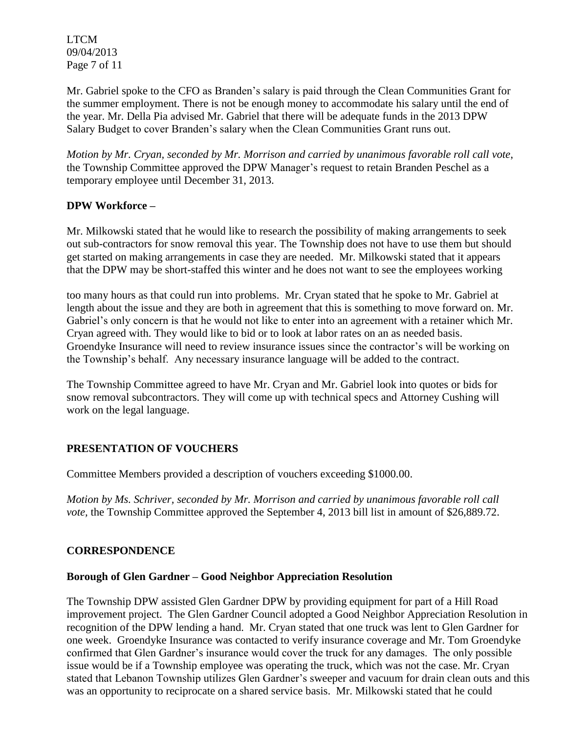LTCM 09/04/2013 Page 7 of 11

Mr. Gabriel spoke to the CFO as Branden's salary is paid through the Clean Communities Grant for the summer employment. There is not be enough money to accommodate his salary until the end of the year. Mr. Della Pia advised Mr. Gabriel that there will be adequate funds in the 2013 DPW Salary Budget to cover Branden's salary when the Clean Communities Grant runs out.

*Motion by Mr. Cryan, seconded by Mr. Morrison and carried by unanimous favorable roll call vote*, the Township Committee approved the DPW Manager's request to retain Branden Peschel as a temporary employee until December 31, 2013.

## **DPW Workforce –**

Mr. Milkowski stated that he would like to research the possibility of making arrangements to seek out sub-contractors for snow removal this year. The Township does not have to use them but should get started on making arrangements in case they are needed. Mr. Milkowski stated that it appears that the DPW may be short-staffed this winter and he does not want to see the employees working

too many hours as that could run into problems. Mr. Cryan stated that he spoke to Mr. Gabriel at length about the issue and they are both in agreement that this is something to move forward on. Mr. Gabriel's only concern is that he would not like to enter into an agreement with a retainer which Mr. Cryan agreed with. They would like to bid or to look at labor rates on an as needed basis. Groendyke Insurance will need to review insurance issues since the contractor's will be working on the Township's behalf. Any necessary insurance language will be added to the contract.

The Township Committee agreed to have Mr. Cryan and Mr. Gabriel look into quotes or bids for snow removal subcontractors. They will come up with technical specs and Attorney Cushing will work on the legal language.

# **PRESENTATION OF VOUCHERS**

Committee Members provided a description of vouchers exceeding \$1000.00.

*Motion by Ms. Schriver, seconded by Mr. Morrison and carried by unanimous favorable roll call vote,* the Township Committee approved the September 4, 2013 bill list in amount of \$26,889.72.

# **CORRESPONDENCE**

### **Borough of Glen Gardner – Good Neighbor Appreciation Resolution**

The Township DPW assisted Glen Gardner DPW by providing equipment for part of a Hill Road improvement project. The Glen Gardner Council adopted a Good Neighbor Appreciation Resolution in recognition of the DPW lending a hand. Mr. Cryan stated that one truck was lent to Glen Gardner for one week. Groendyke Insurance was contacted to verify insurance coverage and Mr. Tom Groendyke confirmed that Glen Gardner's insurance would cover the truck for any damages. The only possible issue would be if a Township employee was operating the truck, which was not the case. Mr. Cryan stated that Lebanon Township utilizes Glen Gardner's sweeper and vacuum for drain clean outs and this was an opportunity to reciprocate on a shared service basis. Mr. Milkowski stated that he could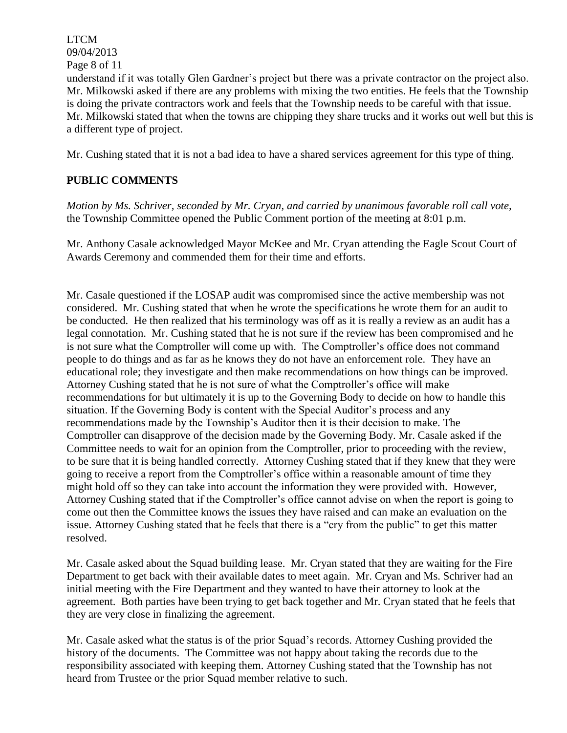LTCM 09/04/2013 Page 8 of 11

understand if it was totally Glen Gardner's project but there was a private contractor on the project also. Mr. Milkowski asked if there are any problems with mixing the two entities. He feels that the Township is doing the private contractors work and feels that the Township needs to be careful with that issue. Mr. Milkowski stated that when the towns are chipping they share trucks and it works out well but this is a different type of project.

Mr. Cushing stated that it is not a bad idea to have a shared services agreement for this type of thing.

# **PUBLIC COMMENTS**

*Motion by Ms. Schriver, seconded by Mr. Cryan, and carried by unanimous favorable roll call vote,* the Township Committee opened the Public Comment portion of the meeting at 8:01 p.m.

Mr. Anthony Casale acknowledged Mayor McKee and Mr. Cryan attending the Eagle Scout Court of Awards Ceremony and commended them for their time and efforts.

Mr. Casale questioned if the LOSAP audit was compromised since the active membership was not considered. Mr. Cushing stated that when he wrote the specifications he wrote them for an audit to be conducted. He then realized that his terminology was off as it is really a review as an audit has a legal connotation. Mr. Cushing stated that he is not sure if the review has been compromised and he is not sure what the Comptroller will come up with. The Comptroller's office does not command people to do things and as far as he knows they do not have an enforcement role. They have an educational role; they investigate and then make recommendations on how things can be improved. Attorney Cushing stated that he is not sure of what the Comptroller's office will make recommendations for but ultimately it is up to the Governing Body to decide on how to handle this situation. If the Governing Body is content with the Special Auditor's process and any recommendations made by the Township's Auditor then it is their decision to make. The Comptroller can disapprove of the decision made by the Governing Body. Mr. Casale asked if the Committee needs to wait for an opinion from the Comptroller, prior to proceeding with the review, to be sure that it is being handled correctly. Attorney Cushing stated that if they knew that they were going to receive a report from the Comptroller's office within a reasonable amount of time they might hold off so they can take into account the information they were provided with. However, Attorney Cushing stated that if the Comptroller's office cannot advise on when the report is going to come out then the Committee knows the issues they have raised and can make an evaluation on the issue. Attorney Cushing stated that he feels that there is a "cry from the public" to get this matter resolved.

Mr. Casale asked about the Squad building lease. Mr. Cryan stated that they are waiting for the Fire Department to get back with their available dates to meet again. Mr. Cryan and Ms. Schriver had an initial meeting with the Fire Department and they wanted to have their attorney to look at the agreement. Both parties have been trying to get back together and Mr. Cryan stated that he feels that they are very close in finalizing the agreement.

Mr. Casale asked what the status is of the prior Squad's records. Attorney Cushing provided the history of the documents. The Committee was not happy about taking the records due to the responsibility associated with keeping them. Attorney Cushing stated that the Township has not heard from Trustee or the prior Squad member relative to such.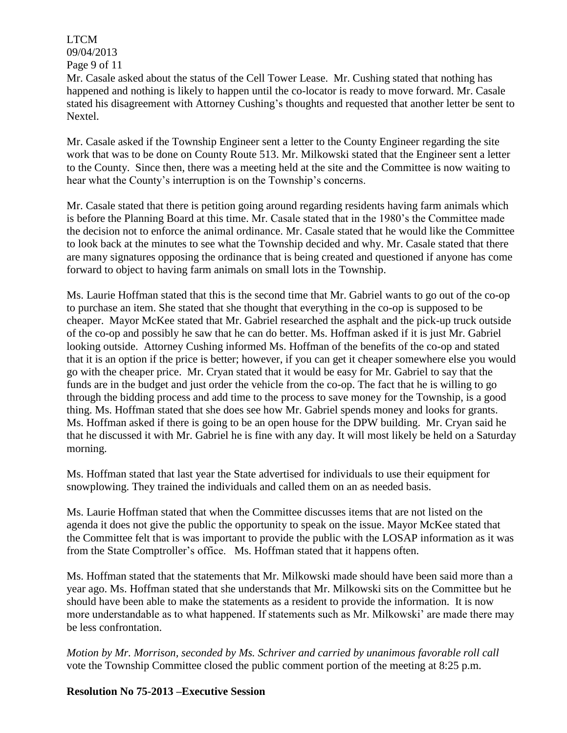LTCM 09/04/2013 Page 9 of 11

Mr. Casale asked about the status of the Cell Tower Lease. Mr. Cushing stated that nothing has happened and nothing is likely to happen until the co-locator is ready to move forward. Mr. Casale stated his disagreement with Attorney Cushing's thoughts and requested that another letter be sent to Nextel.

Mr. Casale asked if the Township Engineer sent a letter to the County Engineer regarding the site work that was to be done on County Route 513. Mr. Milkowski stated that the Engineer sent a letter to the County. Since then, there was a meeting held at the site and the Committee is now waiting to hear what the County's interruption is on the Township's concerns.

Mr. Casale stated that there is petition going around regarding residents having farm animals which is before the Planning Board at this time. Mr. Casale stated that in the 1980's the Committee made the decision not to enforce the animal ordinance. Mr. Casale stated that he would like the Committee to look back at the minutes to see what the Township decided and why. Mr. Casale stated that there are many signatures opposing the ordinance that is being created and questioned if anyone has come forward to object to having farm animals on small lots in the Township.

Ms. Laurie Hoffman stated that this is the second time that Mr. Gabriel wants to go out of the co-op to purchase an item. She stated that she thought that everything in the co-op is supposed to be cheaper. Mayor McKee stated that Mr. Gabriel researched the asphalt and the pick-up truck outside of the co-op and possibly he saw that he can do better. Ms. Hoffman asked if it is just Mr. Gabriel looking outside. Attorney Cushing informed Ms. Hoffman of the benefits of the co-op and stated that it is an option if the price is better; however, if you can get it cheaper somewhere else you would go with the cheaper price. Mr. Cryan stated that it would be easy for Mr. Gabriel to say that the funds are in the budget and just order the vehicle from the co-op. The fact that he is willing to go through the bidding process and add time to the process to save money for the Township, is a good thing. Ms. Hoffman stated that she does see how Mr. Gabriel spends money and looks for grants. Ms. Hoffman asked if there is going to be an open house for the DPW building. Mr. Cryan said he that he discussed it with Mr. Gabriel he is fine with any day. It will most likely be held on a Saturday morning.

Ms. Hoffman stated that last year the State advertised for individuals to use their equipment for snowplowing. They trained the individuals and called them on an as needed basis.

Ms. Laurie Hoffman stated that when the Committee discusses items that are not listed on the agenda it does not give the public the opportunity to speak on the issue. Mayor McKee stated that the Committee felt that is was important to provide the public with the LOSAP information as it was from the State Comptroller's office. Ms. Hoffman stated that it happens often.

Ms. Hoffman stated that the statements that Mr. Milkowski made should have been said more than a year ago. Ms. Hoffman stated that she understands that Mr. Milkowski sits on the Committee but he should have been able to make the statements as a resident to provide the information. It is now more understandable as to what happened. If statements such as Mr. Milkowski' are made there may be less confrontation.

*Motion by Mr. Morrison, seconded by Ms. Schriver and carried by unanimous favorable roll call*  vote the Township Committee closed the public comment portion of the meeting at 8:25 p.m.

# **Resolution No 75-2013 –Executive Session**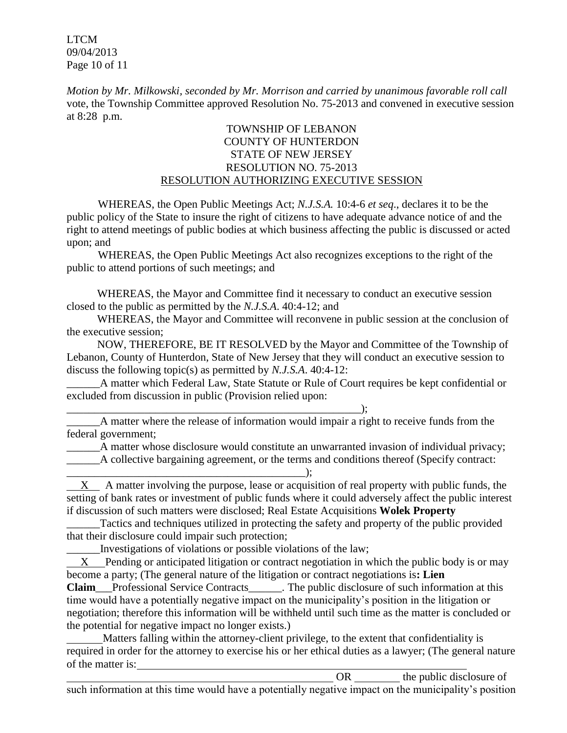LTCM 09/04/2013 Page 10 of 11

*Motion by Mr. Milkowski, seconded by Mr. Morrison and carried by unanimous favorable roll call*  vote, the Township Committee approved Resolution No. 75-2013 and convened in executive session at 8:28 p.m.

# TOWNSHIP OF LEBANON COUNTY OF HUNTERDON STATE OF NEW JERSEY RESOLUTION NO. 75-2013 RESOLUTION AUTHORIZING EXECUTIVE SESSION

WHEREAS, the Open Public Meetings Act; *N.J.S.A.* 10:4-6 *et seq*., declares it to be the public policy of the State to insure the right of citizens to have adequate advance notice of and the right to attend meetings of public bodies at which business affecting the public is discussed or acted upon; and

WHEREAS, the Open Public Meetings Act also recognizes exceptions to the right of the public to attend portions of such meetings; and

 WHEREAS, the Mayor and Committee find it necessary to conduct an executive session closed to the public as permitted by the *N.J.S.A*. 40:4-12; and

 WHEREAS, the Mayor and Committee will reconvene in public session at the conclusion of the executive session;

 NOW, THEREFORE, BE IT RESOLVED by the Mayor and Committee of the Township of Lebanon, County of Hunterdon, State of New Jersey that they will conduct an executive session to discuss the following topic(s) as permitted by *N.J.S.A*. 40:4-12:

A matter which Federal Law, State Statute or Rule of Court requires be kept confidential or excluded from discussion in public (Provision relied upon:

\_\_\_\_\_\_\_\_\_\_\_\_\_\_\_\_\_\_\_\_\_\_\_\_\_\_\_\_\_\_\_\_\_\_\_\_\_\_\_\_\_\_\_\_\_\_\_\_\_\_\_\_\_); \_\_\_\_\_\_A matter where the release of information would impair a right to receive funds from the federal government;

\_\_\_\_\_\_A matter whose disclosure would constitute an unwarranted invasion of individual privacy; A collective bargaining agreement, or the terms and conditions thereof (Specify contract:

\_\_\_\_\_\_\_\_\_\_\_\_\_\_\_\_\_\_\_\_\_\_\_\_\_\_\_\_\_\_\_\_\_\_\_\_\_\_\_\_\_\_\_); X A matter involving the purpose, lease or acquisition of real property with public funds, the setting of bank rates or investment of public funds where it could adversely affect the public interest if discussion of such matters were disclosed; Real Estate Acquisitions **Wolek Property**

\_\_\_\_\_\_Tactics and techniques utilized in protecting the safety and property of the public provided that their disclosure could impair such protection;

\_\_\_\_\_\_Investigations of violations or possible violations of the law;

 X Pending or anticipated litigation or contract negotiation in which the public body is or may become a party; (The general nature of the litigation or contract negotiations is**: Lien** 

**Claim**\_\_\_Professional Service Contracts\_\_\_\_\_\_. The public disclosure of such information at this time would have a potentially negative impact on the municipality's position in the litigation or negotiation; therefore this information will be withheld until such time as the matter is concluded or the potential for negative impact no longer exists.)

 Matters falling within the attorney-client privilege, to the extent that confidentiality is required in order for the attorney to exercise his or her ethical duties as a lawyer; (The general nature of the matter is:

OR the public disclosure of such information at this time would have a potentially negative impact on the municipality's position